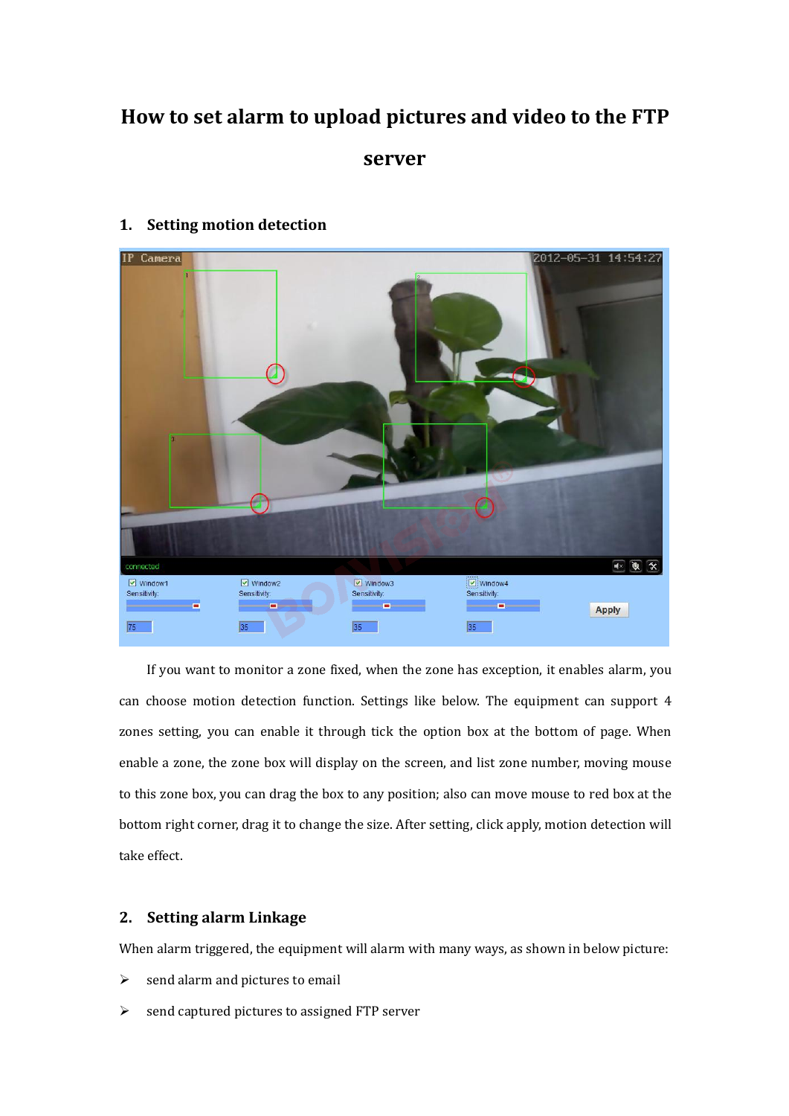# **How to set alarm to upload pictures and video to the FTP server 1. Setting motion detection**<br> **1. Setting motion detection**<br> **1. Setting motion detection**



EV Western Constant detection function. Settings like below. The equipment can support 4<br>
Examples a considered motion detection function. Settings like below. The equipment can support 4<br>
2008 setting, you can enable it t Examples a cone of the setting, when the zone has exception, it enables alarm, you can choose motion detection function. Settings like below. The equipment can support 4 zones setting, you can enable it through tick the op End, we are the zone, the zone, the zone, the zone, the same the same of the same and choose motion detection function. Settings like below. The equipment can support 4 zones setting, you can enable it through tick the op If you want to monitor a zone fixed, when the zone has exception, it enables alarm, you can choose motion detection function. Settings like below. The equipment can support 4 zones setting, you can enable it through tick t can choose motion detection function. Settings like below. The equipment can support 4<br>
zones setting, you can enable it through tick the option box at the bottom of page. When<br>
enable a zone, the zone box will display on France Setting, you can enable it then<br>the a zone, the zone box will dist to this zone box, you can drag the b<br>bottom right corner, drag it to change<br>take effect.<br>**2.** Setting alarm Linkage<br>When alarm triggered, the equip **2.13** can choose motion detection function. Settings like belo<br>
2012 zones setting, you can enable it through tick the option<br>
enable a zone, the zone box will display on the screen, an<br>
to this zone box, you can drag th When alarm triggered, the equipment will alarm with many ways, as shown in below picture:<br>  $\lambda$  Setting alarm Linkage<br>
When alarm triggered, the equipment will alarm with many ways, as shown in below picture:<br>  $\lambda$  send a send alarm and pictures to email<br>  $\triangleright$  Setting alarm Linkage<br>
When alarm triggered, the equipment will alarm with many wards alarm and pictures to email<br>  $\triangleright$  send captured pictures to assigned FTP server

2. **Setting alarm Linkage**<br>When alarm triggered, the equipment will alarm with many ways, as shown<br> $\ge$  send alarm and pictures to email<br> $\ge$  send captured pictures to assigned FTP server

- 
-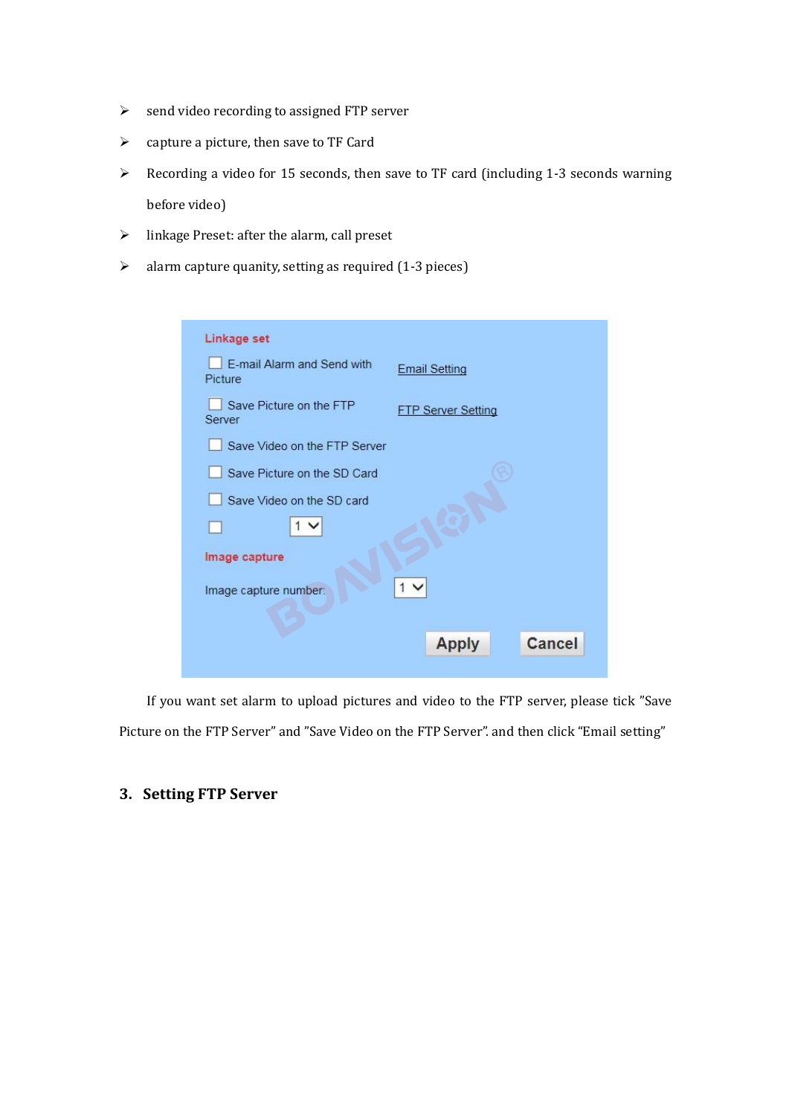- 
- 
- → send video recording to assigned FTP server<br>
→ capture a picture, then save to TF Card<br>
→ Recording a video for 15 seconds, then save to TF card (including 1<br>
before video)<br>
→ linkage Preset: after the alarm call preset → send video recording to assigned FTP server<br>
→ capture a picture, then save to TF Card<br>
→ Recording a video for 15 seconds, then save to TF card (includi<br>
before video)<br>
→ linkage Preset: after the alarm, call preset<br>
→  $\begin{aligned} \n\triangleright \quad & \text{send video recording to assigned FTP server} \\ \n\triangleright \quad & \text{capture a picture, then save to TF Card} \\ \n\blacktriangleright \quad & \text{Recording a video for 15 seconds, then save to TF card (including 1-3 seconds warning before video) \\ \n\blacktriangleright \quad & \text{linkage President: after the alarm, call preset} \\ \n\blacktriangleright \quad & \text{alarm capture quantity, setting as required (1-3 pieces)} \n\end{aligned}$ send video recording to assigned FTP<br>capture a picture, then save to TF Card<br>Recording a video for 15 seconds, the<br>before video)<br>linkage Preset: after the alarm, call pre<br>alarm capture quanity, setting as requ inkage of the apicture, then save to TF Card<br>
⇒ Recording a video for 15 seconds, then save to TF card (includinary<br>
performance video)<br>
→ linkage Preset: after the alarm, call preset<br>
→ alarm capture quanity, setting as
- 
- 

| $\blacktriangleright$ | capture a picture, then save to TF Card                                               |                                                                                               |  |
|-----------------------|---------------------------------------------------------------------------------------|-----------------------------------------------------------------------------------------------|--|
| $\blacktriangleright$ | Recording a video for 15 seconds, then save to TF card (including 1-3 seconds warning |                                                                                               |  |
|                       | before video)                                                                         |                                                                                               |  |
| $\blacktriangleright$ | linkage Preset: after the alarm, call preset                                          |                                                                                               |  |
| $\blacktriangleright$ | alarm capture quanity, setting as required (1-3 pieces)                               |                                                                                               |  |
|                       |                                                                                       |                                                                                               |  |
|                       |                                                                                       |                                                                                               |  |
|                       | Linkage set                                                                           |                                                                                               |  |
|                       | E-mail Alarm and Send with<br>Picture                                                 | <b>Email Setting</b>                                                                          |  |
|                       | Save Picture on the FTP<br>Server                                                     | <b>FTP Server Setting</b>                                                                     |  |
|                       | Save Video on the FTP Server                                                          |                                                                                               |  |
|                       | Save Picture on the SD Card                                                           |                                                                                               |  |
|                       | Save Video on the SD card                                                             |                                                                                               |  |
|                       | $\sim$                                                                                |                                                                                               |  |
|                       | Image capture                                                                         |                                                                                               |  |
|                       | Image capture number:                                                                 |                                                                                               |  |
|                       |                                                                                       |                                                                                               |  |
|                       |                                                                                       | <b>Apply</b><br><b>Cancel</b>                                                                 |  |
|                       |                                                                                       |                                                                                               |  |
|                       |                                                                                       | If you want set alarm to upload pictures and video to the FTP server, please tick "Save       |  |
|                       |                                                                                       | Picture on the FTP Server" and "Save Video on the FTP Server". and then click "Email setting" |  |
|                       |                                                                                       |                                                                                               |  |
|                       |                                                                                       |                                                                                               |  |
|                       | 3. Setting FTP Server                                                                 |                                                                                               |  |
|                       |                                                                                       |                                                                                               |  |
|                       |                                                                                       |                                                                                               |  |
|                       |                                                                                       |                                                                                               |  |